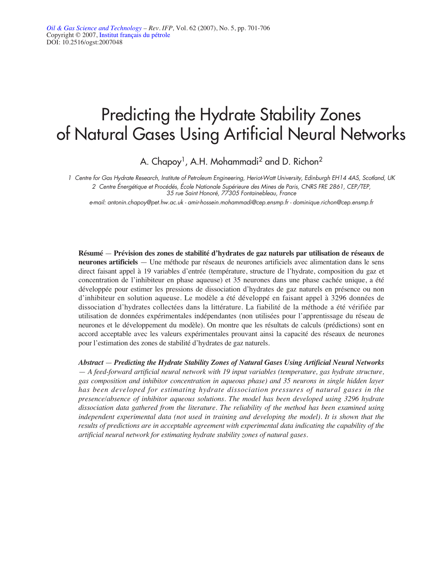# Predicting the Hydrate Stability Zones of Natural Gases Using Artificial Neural Networks

A. Chapoy<sup>1</sup>, A.H. Mohammadi<sup>2</sup> and D. Richon<sup>2</sup>

1 Centre for Gas Hydrate Research, Institute of Petroleum Engineering, Heriot-Watt University, Edinburgh EH14 4AS, Scotland, UK 2 Centre Énergétique et Procédés, École Nationale Supérieure des Mines de Paris, CNRS FRE 2861, CEP/TEP, 35 rue Saint Honoré, 77305 Fontainebleau, France

e-mail: antonin.chapoy@pet.hw.ac.uk - amir-hossein.mohammadi@cep.ensmp.fr - dominique.richon@cep.ensmp.fr

**Résumé** — **Prévision des zones de stabilité d'hydrates de gaz naturels par utilisation de réseaux de neurones artificiels** — Une méthode par réseaux de neurones artificiels avec alimentation dans le sens direct faisant appel à 19 variables d'entrée (température, structure de l'hydrate, composition du gaz et concentration de l'inhibiteur en phase aqueuse) et 35 neurones dans une phase cachée unique, a été développée pour estimer les pressions de dissociation d'hydrates de gaz naturels en présence ou non d'inhibiteur en solution aqueuse. Le modèle a été développé en faisant appel à 3296 données de dissociation d'hydrates collectées dans la littérature. La fiabilité de la méthode a été vérifiée par utilisation de données expérimentales indépendantes (non utilisées pour l'apprentissage du réseau de neurones et le développement du modèle). On montre que les résultats de calculs (prédictions) sont en accord acceptable avec les valeurs expérimentales prouvant ainsi la capacité des réseaux de neurones pour l'estimation des zones de stabilité d'hydrates de gaz naturels.

*Abstract* — *Predicting the Hydrate Stability Zones of Natural Gases Using Artificial Neural Networks*

— *A feed-forward artificial neural network with 19 input variables (temperature, gas hydrate structure, gas composition and inhibitor concentration in aqueous phase) and 35 neurons in single hidden layer has been developed for estimating hydrate dissociation pressures of natural gases in the presence/absence of inhibitor aqueous solutions. The model has been developed using 3296 hydrate dissociation data gathered from the literature. The reliability of the method has been examined using independent experimental data (not used in training and developing the model). It is shown that the results of predictions are in acceptable agreement with experimental data indicating the capability of the artificial neural network for estimating hydrate stability zones of natural gases.*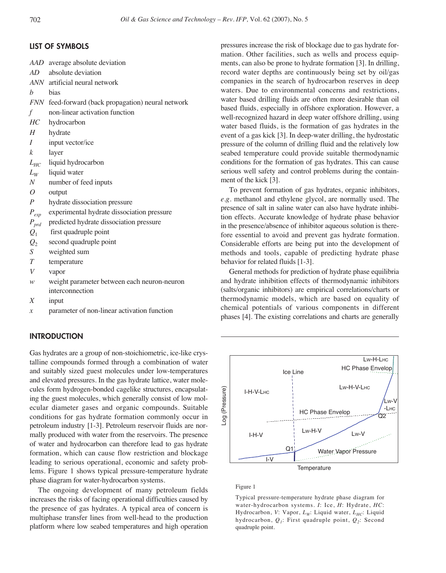# LIST OF SYMBOLS

|                    | AAD average absolute deviation                     |
|--------------------|----------------------------------------------------|
| AD                 | absolute deviation                                 |
|                    | ANN artificial neural network                      |
| $\boldsymbol{h}$   | hias                                               |
|                    | FNN feed-forward (back propagation) neural network |
| $\mathcal{f}$      | non-linear activation function                     |
|                    | HC hydrocarbon                                     |
| $H^-$              | hydrate                                            |
| $\boldsymbol{I}$   | input vector/ice                                   |
| $\boldsymbol{k}$   | layer                                              |
| $L_{HC}$           | liquid hydrocarbon                                 |
| $L_W$              | liquid water                                       |
| $N_{\rm}$          | number of feed inputs                              |
| $\overline{O}$     | output                                             |
| $\boldsymbol{P}$   | hydrate dissociation pressure                      |
| $P_{exp}$          | experimental hydrate dissociation pressure         |
| $P_{\mathit{prd}}$ | predicted hydrate dissociation pressure            |
| $Q_1$              | first quadruple point                              |
| $Q_{2}$            | second quadruple point                             |
| $\overline{S}$     | weighted sum                                       |
| T                  | temperature                                        |
| V                  | vapor                                              |
| W                  | weight parameter between each neuron-neuron        |
|                    | interconnection                                    |
| X                  | input                                              |
|                    |                                                    |

*x* parameter of non-linear activation function

## **INTRODUCTION**

Gas hydrates are a group of non-stoichiometric, ice-like crystalline compounds formed through a combination of water and suitably sized guest molecules under low-temperatures and elevated pressures. In the gas hydrate lattice, water molecules form hydrogen-bonded cagelike structures, encapsulating the guest molecules, which generally consist of low molecular diameter gases and organic compounds. Suitable conditions for gas hydrate formation commonly occur in petroleum industry [1-3]. Petroleum reservoir fluids are normally produced with water from the reservoirs. The presence of water and hydrocarbon can therefore lead to gas hydrate formation, which can cause flow restriction and blockage leading to serious operational, economic and safety problems. Figure 1 shows typical pressure-temperature hydrate phase diagram for water-hydrocarbon systems.

The ongoing development of many petroleum fields increases the risks of facing operational difficulties caused by the presence of gas hydrates. A typical area of concern is multiphase transfer lines from well-head to the production platform where low seabed temperatures and high operation pressures increase the risk of blockage due to gas hydrate formation. Other facilities, such as wells and process equipments, can also be prone to hydrate formation [3]. In drilling, record water depths are continuously being set by oil/gas companies in the search of hydrocarbon reserves in deep waters. Due to environmental concerns and restrictions, water based drilling fluids are often more desirable than oil based fluids, especially in offshore exploration. However, a well-recognized hazard in deep water offshore drilling, using water based fluids, is the formation of gas hydrates in the event of a gas kick [3]. In deep-water drilling, the hydrostatic pressure of the column of drilling fluid and the relatively low seabed temperature could provide suitable thermodynamic conditions for the formation of gas hydrates. This can cause serious well safety and control problems during the containment of the kick [3].

To prevent formation of gas hydrates, organic inhibitors, *e.g*. methanol and ethylene glycol, are normally used. The presence of salt in saline water can also have hydrate inhibition effects. Accurate knowledge of hydrate phase behavior in the presence/absence of inhibitor aqueous solution is therefore essential to avoid and prevent gas hydrate formation. Considerable efforts are being put into the development of methods and tools, capable of predicting hydrate phase behavior for related fluids [1-3].

General methods for prediction of hydrate phase equilibria and hydrate inhibition effects of thermodynamic inhibitors (salts/organic inhibitors) are empirical correlations/charts or thermodynamic models, which are based on equality of chemical potentials of various components in different phases [4]. The existing correlations and charts are generally



#### Figure 1

Typical pressure-temperature hydrate phase diagram for water-hydrocarbon systems. *I*: Ice, *H*: Hydrate, *HC*: Hydrocarbon, *V*: Vapor, *L<sub>W</sub>*: Liquid water, *L<sub>HC</sub>*: Liquid hydrocarbon,  $Q<sub>1</sub>$ : First quadruple point,  $Q<sub>2</sub>$ : Second quadruple point.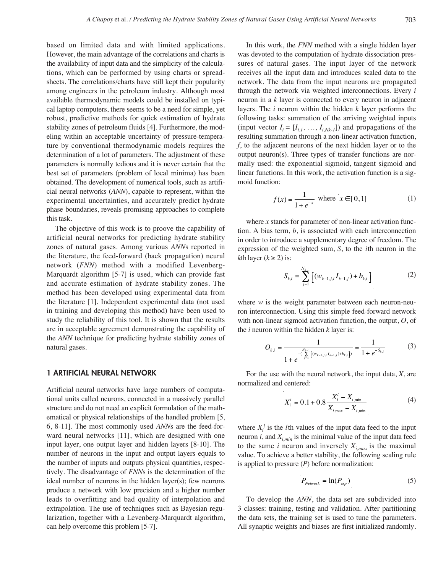based on limited data and with limited applications. However, the main advantage of the correlations and charts is the availability of input data and the simplicity of the calculations, which can be performed by using charts or spreadsheets. The correlations/charts have still kept their popularity among engineers in the petroleum industry. Although most available thermodynamic models could be installed on typical laptop computers, there seems to be a need for simple, yet robust, predictive methods for quick estimation of hydrate stability zones of petroleum fluids [4]. Furthermore, the modeling within an acceptable uncertainty of pressure-temperature by conventional thermodynamic models requires the determination of a lot of parameters. The adjustment of these parameters is normally tedious and it is never certain that the best set of parameters (problem of local minima) has been obtained. The development of numerical tools, such as artificial neural networks (*ANN*), capable to represent, within the experimental uncertainties, and accurately predict hydrate phase boundaries, reveals promising approaches to complete this task.

The objective of this work is to proove the capability of artificial neural networks for predicting hydrate stability zones of natural gases. Among various *ANN*s reported in the literature, the feed-forward (back propagation) neural network (*FNN*) method with a modified Levenberg-Marquardt algorithm [5-7] is used, which can provide fast and accurate estimation of hydrate stability zones. The method has been developed using experimental data from the literature [1]. Independent experimental data (not used in training and developing this method) have been used to study the reliability of this tool. It is shown that the results are in acceptable agreement demonstrating the capability of the *ANN* technique for predicting hydrate stability zones of natural gases.

## 1 ARTIFICIAL NEURAL NETWORK

Artificial neural networks have large numbers of computational units called neurons, connected in a massively parallel structure and do not need an explicit formulation of the mathematical or physical relationships of the handled problem [5, 6, 8-11]. The most commonly used *ANN*s are the feed-forward neural networks [11], which are designed with one input layer, one output layer and hidden layers [8-10]. The number of neurons in the input and output layers equals to the number of inputs and outputs physical quantities, respectively. The disadvantage of *FNN*s is the determination of the ideal number of neurons in the hidden layer(s); few neurons produce a network with low precision and a higher number leads to overfitting and bad quality of interpolation and extrapolation. The use of techniques such as Bayesian regularization, together with a Levenberg-Marquardt algorithm, can help overcome this problem [5-7].

In this work, the *FNN* method with a single hidden layer was devoted to the computation of hydrate dissociation pressures of natural gases. The input layer of the network receives all the input data and introduces scaled data to the network. The data from the input neurons are propagated through the network via weighted interconnections. Every *i* neuron in a *k* layer is connected to every neuron in adjacent layers. The *i* neuron within the hidden *k* layer performs the following tasks: summation of the arriving weighted inputs (input vector  $I_i = [I_{i,1}, \ldots, I_{i,Nk-1}]$ ) and propagations of the resulting summation through a non-linear activation function, *f*, to the adjacent neurons of the next hidden layer or to the output neuron(s). Three types of transfer functions are normally used: the exponential sigmoid, tangent sigmoid and linear functions. In this work, the activation function is a sigmoid function:

$$
f(x) = \frac{1}{1 + e^{-x}} \text{ where } x \in [0, 1] \tag{1}
$$

where *x* stands for parameter of non-linear activation function. A bias term, *b*, is associated with each interconnection in order to introduce a supplementary degree of freedom. The expression of the weighted sum, *S*, to the *i*th neuron in the *k*th layer  $(k \ge 2)$  is:

$$
S_{k,i} = \sum_{j=1}^{N_{k-1}} \left[ (w_{k-1,j,i} I_{k-1,j}) + b_{k,i} \right]
$$
 (2)

where *w* is the weight parameter between each neuron-neuron interconnection. Using this simple feed-forward network with non-linear sigmoid activation function, the output, *O*, of the *i* neuron within the hidden *k* layer is:

$$
O_{k,i} = \frac{1}{1 + e^{-\left(\sum_{j=1}^{N_{k-1}} \left[ (w_{k-1,j,i} I_{k-1,j}) + b_{k,i} \right] \right)}} = \frac{1}{1 + e^{-S_{k,i}}}
$$
(3)

For the use with the neural network, the input data, *X*, are normalized and centered:

$$
X_i^l = 0.1 + 0.8 \frac{X_i^l - X_{i,\text{min}}}{X_{i,\text{max}} - X_{i,\text{min}}}
$$
(4)

where  $X_i^l$  is the *l*th values of the input data feed to the input neuron *i*, and  $X_{i,min}$  is the minimal value of the input data feed to the same *i* neuron and inversely  $X_{i,max}$  is the maximal value. To achieve a better stability, the following scaling rule is applied to pressure (*P*) before normalization:

$$
P_{Network} = \ln(P_{exp})
$$
 (5)

To develop the *ANN*, the data set are subdivided into 3 classes: training, testing and validation. After partitioning the data sets, the training set is used to tune the parameters. All synaptic weights and biases are first initialized randomly.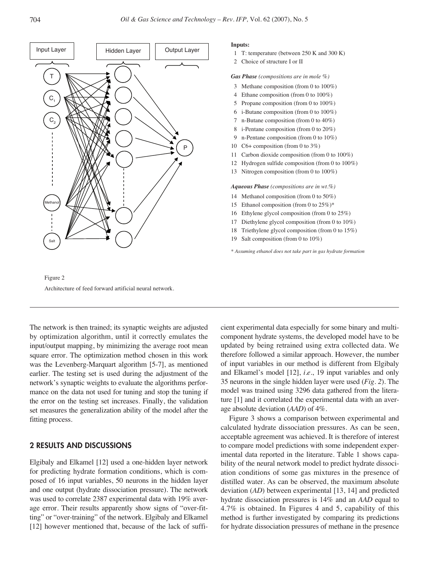

## Figure 2 Architecture of feed forward artificial neural network.

The network is then trained; its synaptic weights are adjusted by optimization algorithm, until it correctly emulates the input/output mapping, by minimizing the average root mean square error. The optimization method chosen in this work was the Levenberg-Marquart algorithm [5-7], as mentioned earlier. The testing set is used during the adjustment of the network's synaptic weights to evaluate the algorithms performance on the data not used for tuning and stop the tuning if the error on the testing set increases. Finally, the validation set measures the generalization ability of the model after the fitting process.

## 2 RESULTS AND DISCUSSIONS

Elgibaly and Elkamel [12] used a one-hidden layer network for predicting hydrate formation conditions, which is composed of 16 input variables, 50 neurons in the hidden layer and one output (hydrate dissociation pressure). The network was used to correlate 2387 experimental data with 19% average error. Their results apparently show signs of "over-fitting" or "over-training" of the network. Elgibaly and Elkamel [12] however mentioned that, because of the lack of suffi-

#### **Inputs:**

- 1 T: temperature (between 250 K and 300 K)
- 2 Choice of structure I or II

### *Gas Phase (compositions are in mole %)*

- 3 Methane composition (from 0 to 100%)
- 4 Ethane composition (from 0 to 100%)
- 5 Propane composition (from 0 to 100%)
- 6 i-Butane composition (from 0 to 100%)
- 7 n-Butane composition (from 0 to 40%)
- 8 i-Pentane composition (from 0 to 20%)
- 9 n-Pentane composition (from 0 to 10%)
- 10 C6+ composition (from 0 to 3%)
- 11 Carbon dioxide composition (from 0 to 100%)
- 12 Hydrogen sulfide composition (from 0 to 100%)
- 13 Nitrogen composition (from 0 to 100%)

#### *Aqueous Phase (compositions are in wt.%)*

- 14 Methanol composition (from 0 to 50%)
- 15 Ethanol composition (from 0 to 25%)\*
- 16 Ethylene glycol composition (from 0 to 25%)
- 17 Diethylene glycol composition (from 0 to 10%)
- 18 Triethylene glycol composition (from 0 to 15%)
- 19 Salt composition (from 0 to 10%)

*\* Assuming ethanol does not take part in gas hydrate formation*

cient experimental data especially for some binary and multicomponent hydrate systems, the developed model have to be updated by being retrained using extra collected data. We therefore followed a similar approach. However, the number of input variables in our method is different from Elgibaly and Elkamel's model [12], *i.e.*, 19 input variables and only 35 neurons in the single hidden layer were used (*Fig. 2*). The model was trained using 3296 data gathered from the literature [1] and it correlated the experimental data with an average absolute deviation (*AAD*) of 4%.

Figure 3 shows a comparison between experimental and calculated hydrate dissociation pressures. As can be seen, acceptable agreement was achieved. It is therefore of interest to compare model predictions with some independent experimental data reported in the literature. Table 1 shows capability of the neural network model to predict hydrate dissociation conditions of some gas mixtures in the presence of distilled water. As can be observed, the maximum absolute deviation (*AD*) between experimental [13, 14] and predicted hydrate dissociation pressures is 14% and an *AAD* equal to 4.7% is obtained. In Figures 4 and 5, capability of this method is further investigated by comparing its predictions for hydrate dissociation pressures of methane in the presence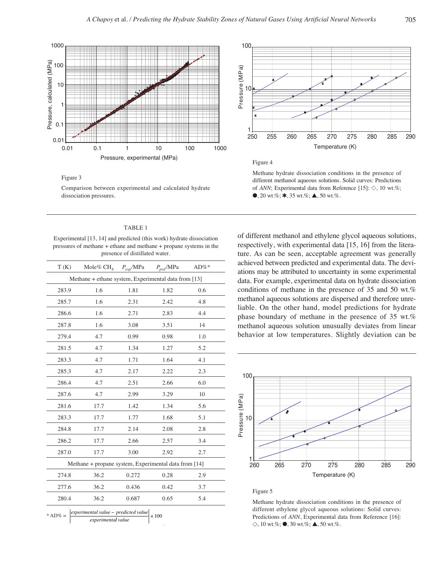

Figure 3

Comparison between experimental and calculated hydrate dissociation pressures.

## TABLE 1

Experimental [13, 14] and predicted (this work) hydrate dissociation pressures of methane + ethane and methane + propane systems in the presence of distillated water.

| T(K)                                                  | Mole% $\rm CH_{\scriptscriptstyle{A}}$ | $P_{exp}/\text{MPa}$ | $P_{\textit{prd}}/\textit{MPa}$ | $AD\%*$ |  |  |
|-------------------------------------------------------|----------------------------------------|----------------------|---------------------------------|---------|--|--|
| Methane + ethane system, Experimental data from [13]  |                                        |                      |                                 |         |  |  |
| 283.9                                                 | 1.6                                    | 1.81                 | 1.82                            | 0.6     |  |  |
| 285.7                                                 | 1.6                                    | 2.31                 | 2.42                            | 4.8     |  |  |
| 286.6                                                 | 1.6                                    | 2.71                 | 2.83                            | 4.4     |  |  |
| 287.8                                                 | 1.6                                    | 3.08                 | 3.51                            | 14      |  |  |
| 279.4                                                 | 4.7                                    | 0.99                 | 0.98                            | 1.0     |  |  |
| 281.5                                                 | 4.7                                    | 1.34                 | 1.27                            | 5.2     |  |  |
| 283.3                                                 | 4.7                                    | 1.71                 | 1.64                            | 4.1     |  |  |
| 285.3                                                 | 4.7                                    | 2.17                 | 2.22                            | 2.3     |  |  |
| 286.4                                                 | 4.7                                    | 2.51                 | 2.66                            | 6.0     |  |  |
| 287.6                                                 | 4.7                                    | 2.99                 | 3.29                            | 10      |  |  |
| 281.6                                                 | 17.7                                   | 1.42                 | 1.34                            | 5.6     |  |  |
| 283.3                                                 | 17.7                                   | 1.77                 | 1.68                            | 5.1     |  |  |
| 284.8                                                 | 17.7                                   | 2.14                 | 2.08                            | 2.8     |  |  |
| 286.2                                                 | 17.7                                   | 2.66                 | 2.57                            | 3.4     |  |  |
| 287.0                                                 | 17.7                                   | 3.00                 | 2.92                            | 2.7     |  |  |
| Methane + propane system, Experimental data from [14] |                                        |                      |                                 |         |  |  |
| 274.8                                                 | 36.2                                   | 0.272                | 0.28                            | 2.9     |  |  |
| 277.6                                                 | 36.2                                   | 0.436                | 0.42                            | 3.7     |  |  |
| 280.4                                                 | 36.2                                   | 0.687                | 0.65                            | 5.4     |  |  |
|                                                       |                                        |                      |                                 |         |  |  |

\* AD% = *experimental value* − *predicted value experimental value*  $\times 100$ 



Figure 4

Methane hydrate dissociation conditions in the presence of different methanol aqueous solutions. Solid curves: Predictions of *ANN*; Experimental data from Reference [15]: ◆, 10 wt.%; ●, 20 wt.%;  $\star$ , 35 wt.%;  $\blacktriangle$ , 50 wt.%.

of different methanol and ethylene glycol aqueous solutions, respectively, with experimental data [15, 16] from the literature. As can be seen, acceptable agreement was generally achieved between predicted and experimental data. The deviations may be attributed to uncertainty in some experimental data. For example, experimental data on hydrate dissociation conditions of methane in the presence of 35 and 50 wt.% methanol aqueous solutions are dispersed and therefore unreliable. On the other hand, model predictions for hydrate phase boundary of methane in the presence of 35 wt.% methanol aqueous solution unusually deviates from linear behavior at low temperatures. Slightly deviation can be



Figure 5

Methane hydrate dissociation conditions in the presence of different ethylene glycol aqueous solutions: Solid curves: Predictions of *ANN*, Experimental data from Reference [16]:  $\Diamond$ , 10 wt.%;  $\bullet$ , 30 wt.%;  $\blacktriangle$ , 50 wt.%.